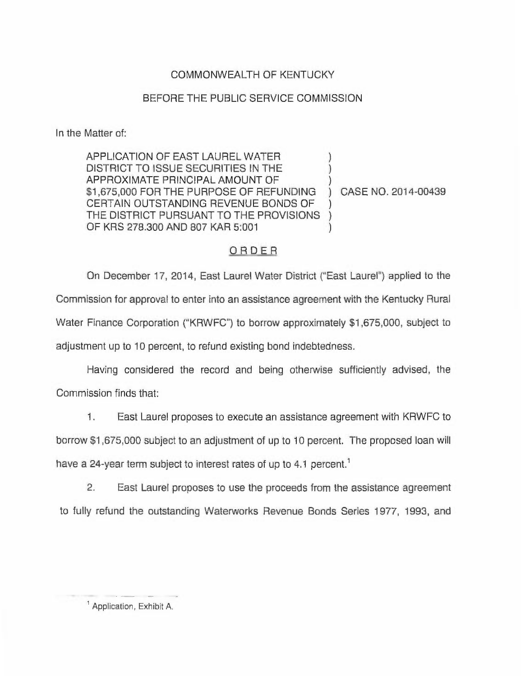## COMMONWEALTH OF KENTUCKY

## BEFORE THE PUBLIC SERVICE COMMISSION

In the Matter of:

APPLICATION OF EAST LAUREL WATER DISTRICT TO ISSUE SECURITIES IN THE APPROXIMATE PRINCIPAL AMOUNT OF \$1,675,000 FOR THE PURPOSE OF REFUNDING CERTAIN OUTSTANDING REVENUE BONDS OF THE DISTRICT PURSUANT TO THE PROVISIONS OF KRS 278.300 AND 807 KAR 5:001 ) ) ) ) CASE NO. 2014-00439 ) ) )

## ORDER

On December 17, 2014, East Laurel Water District ("East Laurel") applied to the Commission for approval to enter into an assistance agreement with the Kentucky Rural Water Finance Corporation ("KRWFC") to borrow approximately \$1,675,000, subject to adjustment up to 10 percent, to refund existing bond indebtedness.

Having considered the record and being otherwise sufficiently advised, the Commission finds that:

1. East Laurel proposes to execute an assistance agreement with KRWFC to borrow \$1,675,000 subject to an adjustment of up to 10 percent. The proposed loan will have a 24-year term subject to interest rates of up to 4.1 percent.<sup>1</sup>

 $2.$ East Laurel proposes to use the proceeds from the assistance agreement to fully refund the outstanding Waterworks Revenue Bonds Series 1977, 1993, and

Application, Exhibit A,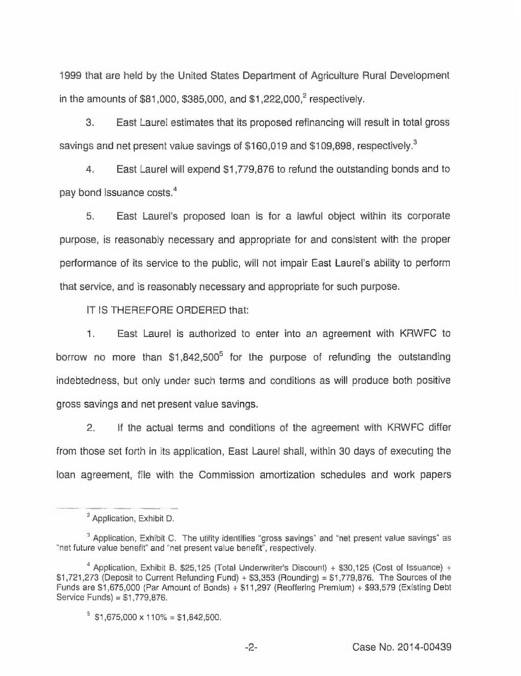1999 that are held by the United States Department of Agriculture Rural Development in the amounts of \$81,000, \$385,000, and  $$1,222,000$ , respectively.

3. East Laurel estimates that its proposed refinancing will result in total gross savings and net present value savings of \$160,019 and \$109,898, respectively.<sup>3</sup>

4. East Laurel will expend \$1,779,878 to refund the outstanding bonds and to pay bond issuance costs.<sup>4</sup>

5. East Laurel's proposed loan is for a lawful object within its corporate purpose, is reasonably necessary and appropriate for and consistent with the proper performance of its service to the public, will not impair East Laurel's ability to perform that service, and is reasonably necessary and appropriate for such purpose.

IT IS THEREFORE ORDERED that:

1. East Laurel is authorized to enter into an agreement with KRWFC to borrow no more than  $$1,842,500^5$  for the purpose of refunding the outstanding indebtedness, but only under such terms and conditions as will produce both positive gross savings and net present value savings.

2. If the actual terms and conditions of the agreement with KRWFC differ from those set forth in its application, East Laurel shall, within 30 days of executing the loan agreement, file with the Commission amortization schedules and work papers

Application, Exhibit D.

 $3$  Application, Exhibit C. The utility identifies "gross savings" and "net present value savings" as "net future value benefit" and "net present value benefit", respectively.

<sup>&</sup>lt;sup>4</sup> Application, Exhibit B. \$25,125 (Total Underwriter's Discount) + \$30,125 (Cost of Issuance) +  $$1,721,273$  (Deposit to Current Refunding Fund) +  $$3,353$  (Rounding) =  $$1,779,876$ . The Sources of the Funds are \$1,675,000 (Par Amount of Bonds) + \$11,297 (Reoffering Premium) + \$93,579 (Existing Debt Service Funds) = \$1,779,876.

 $5$  \$1,675,000 x 110% = \$1,842,500.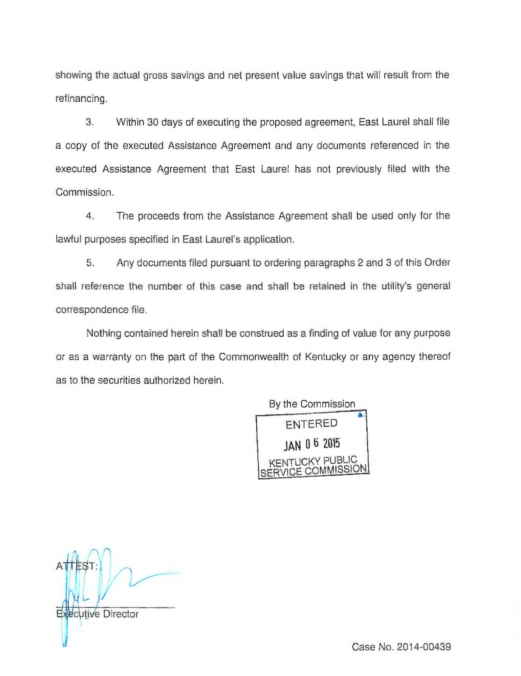showing the actual gross savings and net present value savings that will result from the refinancing.

3. Within 30 days of executing the proposed agreement, East Laurel shall file a copy of the executed Assistance Agreement and any documents referenced in the executed Assistance Agreement that East Laurel has not previously filed with the Commission.

4. The proceeds from the Assistance Agreement shall be used only for the lawful purposes specified in East Laurel's application.

5. Any documents filed pursuant to ordering paragraphs 2 and 3 of this Order shall reference the number of this case and shall be retained in the utility's general correspondence file.

Nothing contained herein shall be construed as a finding of value for any purpose or as a warranty on the part of the Commonwealth of Kentucky or any agency thereof as to the securities authorized herein.

> By the Commission **ENTERED IAN 06 2015 CKY PUBLIC**

n ATTEST:) ecutive Director

Case No. 2014-00439